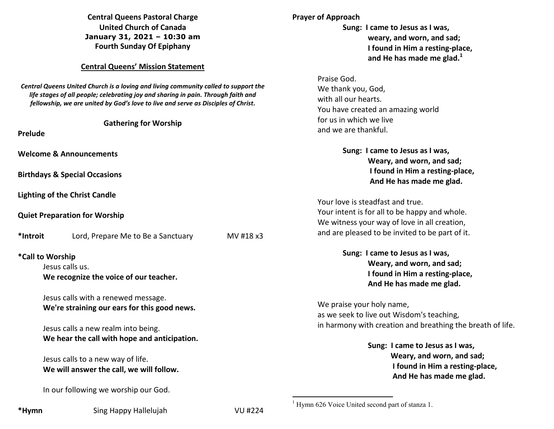## **Central Queens Pastoral Charge United Church of Canada January 31, 2021 – 10:30 am Fourth Sunday Of Epiphany**

### **Central Queens' Mission Statement**

*Central Queens United Church is a loving and living community called to support the life stages of all people; celebrating joy and sharing in pain. Through faith and fellowship, we are united by God's love to live and serve as Disciples of Christ***.** 

#### **Gathering for Worship**

**Prelude** 

**Welcome & Announcements** 

**Birthdays & Special Occasions** 

**Lighting of the Christ Candle** 

**Quiet Preparation for Worship** 

**\*Introit** Lord, Prepare Me to Be a Sanctuary MV #18 x3 **\*Call to Worship** 

Jesus calls us.

 **We recognize the voice of our teacher.** 

Jesus calls with a renewed message.  **We're straining our ears for this good news.** 

Jesus calls a new realm into being.  **We hear the call with hope and anticipation.** 

Jesus calls to a new way of life.  **We will answer the call, we will follow.** 

In our following we worship our God.

**\*Hymn** Sing Happy Hallelujah VU #224

 $1$  Hymn 626 Voice United second part of stanza 1.

# with all our hearts. You have created an amazing world for us in which we live and we are thankful.

**Sung: I came to Jesus as I was,** 

 **weary, and worn, and sad; I found in Him a resting-place, and He has made me glad.<sup>1</sup>**

**Prayer of Approach** 

Praise God.

We thank you, God,

 **Sung: I came to Jesus as I was, Weary, and worn, and sad; I found in Him a resting-place, And He has made me glad.** 

Your love is steadfast and true. Your intent is for all to be happy and whole. We witness your way of love in all creation, and are pleased to be invited to be part of it.

> **Sung: I came to Jesus as I was, Weary, and worn, and sad; I found in Him a resting-place, And He has made me glad.**

We praise your holy name, as we seek to live out Wisdom's teaching, in harmony with creation and breathing the breath of life.

> **Sung: I came to Jesus as I was, Weary, and worn, and sad; I found in Him a resting-place, And He has made me glad.**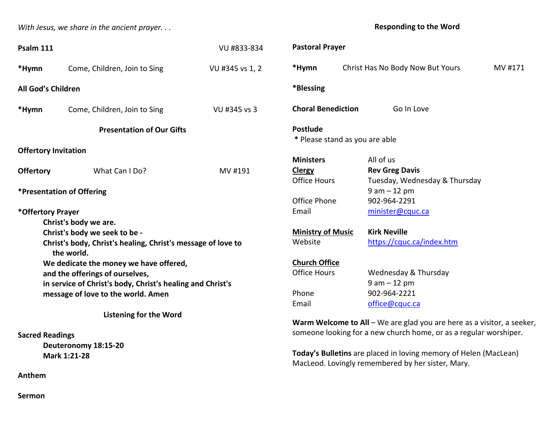*With Jesus, we share in the ancient prayer. . .* 

**Responding to the Word** 

| Psalm 111                                                                  |                                        | VU #833-834          | <b>Pastoral Prayer</b>                                                 |                                  |         |
|----------------------------------------------------------------------------|----------------------------------------|----------------------|------------------------------------------------------------------------|----------------------------------|---------|
| *Hymn                                                                      | Come, Children, Join to Sing           | VU #345 vs 1, 2      | *Hymn                                                                  | Christ Has No Body Now But Yours | MV #171 |
| All God's Children                                                         |                                        |                      | *Blessing                                                              |                                  |         |
| *Hymn                                                                      | Come, Children, Join to Sing           | VU #345 vs 3         | <b>Choral Benediction</b>                                              | Go In Love                       |         |
| <b>Presentation of Our Gifts</b>                                           |                                        |                      | <b>Postlude</b><br>* Please stand as you are able                      |                                  |         |
|                                                                            | <b>Offertory Invitation</b>            |                      |                                                                        |                                  |         |
|                                                                            |                                        |                      | <b>Ministers</b>                                                       | All of us                        |         |
| <b>Offertory</b>                                                           | What Can I Do?                         | MV #191              | <b>Clergy</b>                                                          | <b>Rev Greg Davis</b>            |         |
|                                                                            |                                        |                      | <b>Office Hours</b>                                                    | Tuesday, Wednesday & Thursday    |         |
| *Presentation of Offering                                                  |                                        |                      |                                                                        | $9 am - 12 pm$                   |         |
|                                                                            |                                        |                      | Office Phone                                                           | 902-964-2291                     |         |
| *Offertory Prayer                                                          |                                        |                      | Email                                                                  | minister@cquc.ca                 |         |
|                                                                            | Christ's body we are.                  |                      |                                                                        |                                  |         |
| Christ's body we seek to be -                                              |                                        |                      | <b>Ministry of Music</b>                                               | <b>Kirk Neville</b>              |         |
| Christ's body, Christ's healing, Christ's message of love to<br>the world. |                                        |                      | Website                                                                | https://cquc.ca/index.htm        |         |
|                                                                            | We dedicate the money we have offered, | <b>Church Office</b> |                                                                        |                                  |         |
| and the offerings of ourselves,                                            |                                        |                      | <b>Office Hours</b>                                                    | Wednesday & Thursday             |         |
| in service of Christ's body, Christ's healing and Christ's                 |                                        |                      |                                                                        | $9 am - 12 pm$                   |         |
| message of love to the world. Amen                                         |                                        |                      | Phone                                                                  | 902-964-2221                     |         |
|                                                                            |                                        |                      | Email                                                                  | office@cquc.ca                   |         |
|                                                                            | <b>Listening for the Word</b>          |                      |                                                                        |                                  |         |
|                                                                            |                                        |                      | Warm Welcome to All - We are glad you are here as a visitor, a seeker, |                                  |         |
| <b>Sacred Readings</b>                                                     |                                        |                      | someone looking for a new church home, or as a regular worshiper.      |                                  |         |
|                                                                            | Deuteronomy 18:15-20                   |                      |                                                                        |                                  |         |
| Mark 1:21-28                                                               |                                        |                      | Today's Bulletins are placed in loving memory of Helen (MacLean)       |                                  |         |
|                                                                            |                                        |                      | MacLeod. Lovingly remembered by her sister, Mary.                      |                                  |         |

**Sermon** 

**Anthem**